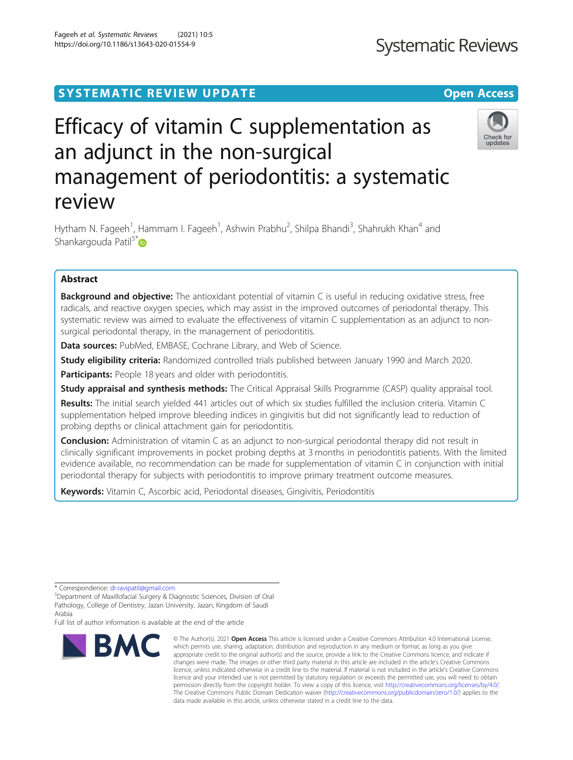# SYSTEMATIC REVIEW UPDATE And the contract of the open Access

# Efficacy of vitamin C supplementation as an adjunct in the non-surgical management of periodontitis: a systematic review

Hytham N. Fageeh<sup>1</sup>, Hammam I. Fageeh<sup>1</sup>, Ashwin Prabhu<sup>2</sup>, Shilpa Bhandi<sup>3</sup>, Shahrukh Khan<sup>4</sup> and Shankargouda Patil<sup>5\*</sup>

## Abstract

**Background and objective:** The antioxidant potential of vitamin C is useful in reducing oxidative stress, free radicals, and reactive oxygen species, which may assist in the improved outcomes of periodontal therapy. This systematic review was aimed to evaluate the effectiveness of vitamin C supplementation as an adjunct to nonsurgical periodontal therapy, in the management of periodontitis.

Data sources: PubMed, EMBASE, Cochrane Library, and Web of Science.

**Study eligibility criteria:** Randomized controlled trials published between January 1990 and March 2020.

Participants: People 18 years and older with periodontitis.

Study appraisal and synthesis methods: The Critical Appraisal Skills Programme (CASP) quality appraisal tool.

Results: The initial search yielded 441 articles out of which six studies fulfilled the inclusion criteria. Vitamin C supplementation helped improve bleeding indices in gingivitis but did not significantly lead to reduction of probing depths or clinical attachment gain for periodontitis.

**Conclusion:** Administration of vitamin C as an adjunct to non-surgical periodontal therapy did not result in clinically significant improvements in pocket probing depths at 3 months in periodontitis patients. With the limited evidence available, no recommendation can be made for supplementation of vitamin C in conjunction with initial periodontal therapy for subjects with periodontitis to improve primary treatment outcome measures.

Keywords: Vitamin C, Ascorbic acid, Periodontal diseases, Gingivitis, Periodontitis

\* Correspondence: [dr.ravipatil@gmail.com](mailto:dr.ravipatil@gmail.com) <sup>5</sup>

BMC

Full list of author information is available at the end of the article

Fageeh et al. Systematic Reviews (2021) 10:5 https://doi.org/10.1186/s13643-020-01554-9







Department of Maxillofacial Surgery & Diagnostic Sciences, Division of Oral Pathology, College of Dentistry, Jazan University, Jazan, Kingdom of Saudi Arabia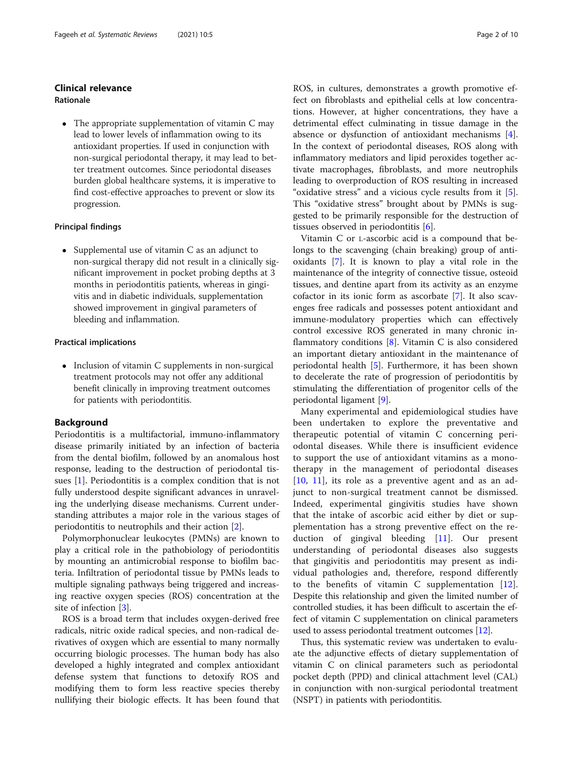## Clinical relevance

## Rationale

• The appropriate supplementation of vitamin C may lead to lower levels of inflammation owing to its antioxidant properties. If used in conjunction with non-surgical periodontal therapy, it may lead to better treatment outcomes. Since periodontal diseases burden global healthcare systems, it is imperative to find cost-effective approaches to prevent or slow its progression.

## Principal findings

• Supplemental use of vitamin  $C$  as an adjunct to non-surgical therapy did not result in a clinically significant improvement in pocket probing depths at 3 months in periodontitis patients, whereas in gingivitis and in diabetic individuals, supplementation showed improvement in gingival parameters of bleeding and inflammation.

## Practical implications

• Inclusion of vitamin C supplements in non-surgical treatment protocols may not offer any additional benefit clinically in improving treatment outcomes for patients with periodontitis.

#### Background

Periodontitis is a multifactorial, immuno-inflammatory disease primarily initiated by an infection of bacteria from the dental biofilm, followed by an anomalous host response, leading to the destruction of periodontal tissues [[1](#page-8-0)]. Periodontitis is a complex condition that is not fully understood despite significant advances in unraveling the underlying disease mechanisms. Current understanding attributes a major role in the various stages of periodontitis to neutrophils and their action [\[2](#page-8-0)].

Polymorphonuclear leukocytes (PMNs) are known to play a critical role in the pathobiology of periodontitis by mounting an antimicrobial response to biofilm bacteria. Infiltration of periodontal tissue by PMNs leads to multiple signaling pathways being triggered and increasing reactive oxygen species (ROS) concentration at the site of infection [\[3](#page-8-0)].

ROS is a broad term that includes oxygen-derived free radicals, nitric oxide radical species, and non-radical derivatives of oxygen which are essential to many normally occurring biologic processes. The human body has also developed a highly integrated and complex antioxidant defense system that functions to detoxify ROS and modifying them to form less reactive species thereby nullifying their biologic effects. It has been found that ROS, in cultures, demonstrates a growth promotive effect on fibroblasts and epithelial cells at low concentrations. However, at higher concentrations, they have a detrimental effect culminating in tissue damage in the absence or dysfunction of antioxidant mechanisms [\[4](#page-8-0)]. In the context of periodontal diseases, ROS along with inflammatory mediators and lipid peroxides together activate macrophages, fibroblasts, and more neutrophils leading to overproduction of ROS resulting in increased "oxidative stress" and a vicious cycle results from it [\[5](#page-8-0)]. This "oxidative stress" brought about by PMNs is suggested to be primarily responsible for the destruction of tissues observed in periodontitis  $[6]$  $[6]$  $[6]$ .

Vitamin C or L-ascorbic acid is a compound that belongs to the scavenging (chain breaking) group of antioxidants [\[7\]](#page-9-0). It is known to play a vital role in the maintenance of the integrity of connective tissue, osteoid tissues, and dentine apart from its activity as an enzyme cofactor in its ionic form as ascorbate [\[7](#page-9-0)]. It also scavenges free radicals and possesses potent antioxidant and immune-modulatory properties which can effectively control excessive ROS generated in many chronic inflammatory conditions  $[8]$  $[8]$ . Vitamin C is also considered an important dietary antioxidant in the maintenance of periodontal health [\[5](#page-8-0)]. Furthermore, it has been shown to decelerate the rate of progression of periodontitis by stimulating the differentiation of progenitor cells of the periodontal ligament [[9\]](#page-9-0).

Many experimental and epidemiological studies have been undertaken to explore the preventative and therapeutic potential of vitamin C concerning periodontal diseases. While there is insufficient evidence to support the use of antioxidant vitamins as a monotherapy in the management of periodontal diseases [[10,](#page-9-0) [11\]](#page-9-0), its role as a preventive agent and as an adjunct to non-surgical treatment cannot be dismissed. Indeed, experimental gingivitis studies have shown that the intake of ascorbic acid either by diet or supplementation has a strong preventive effect on the reduction of gingival bleeding [\[11](#page-9-0)]. Our present understanding of periodontal diseases also suggests that gingivitis and periodontitis may present as individual pathologies and, therefore, respond differently to the benefits of vitamin C supplementation [\[12](#page-9-0)]. Despite this relationship and given the limited number of controlled studies, it has been difficult to ascertain the effect of vitamin C supplementation on clinical parameters used to assess periodontal treatment outcomes [\[12\]](#page-9-0).

Thus, this systematic review was undertaken to evaluate the adjunctive effects of dietary supplementation of vitamin C on clinical parameters such as periodontal pocket depth (PPD) and clinical attachment level (CAL) in conjunction with non-surgical periodontal treatment (NSPT) in patients with periodontitis.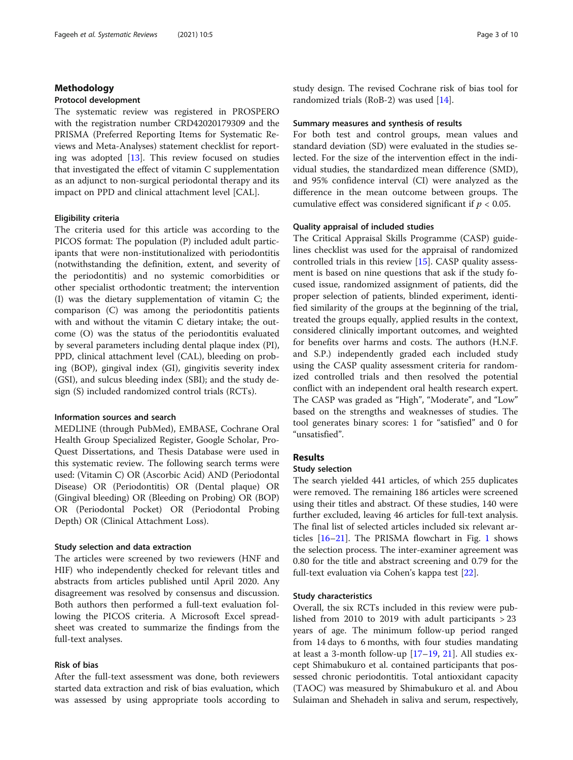## Methodology

#### Protocol development

The systematic review was registered in PROSPERO with the registration number CRD42020179309 and the PRISMA (Preferred Reporting Items for Systematic Reviews and Meta-Analyses) statement checklist for reporting was adopted [[13](#page-9-0)]. This review focused on studies that investigated the effect of vitamin C supplementation as an adjunct to non-surgical periodontal therapy and its impact on PPD and clinical attachment level [CAL].

#### Eligibility criteria

The criteria used for this article was according to the PICOS format: The population (P) included adult participants that were non-institutionalized with periodontitis (notwithstanding the definition, extent, and severity of the periodontitis) and no systemic comorbidities or other specialist orthodontic treatment; the intervention (I) was the dietary supplementation of vitamin C; the comparison (C) was among the periodontitis patients with and without the vitamin C dietary intake; the outcome (O) was the status of the periodontitis evaluated by several parameters including dental plaque index (PI), PPD, clinical attachment level (CAL), bleeding on probing (BOP), gingival index (GI), gingivitis severity index (GSI), and sulcus bleeding index (SBI); and the study design (S) included randomized control trials (RCTs).

#### Information sources and search

MEDLINE (through PubMed), EMBASE, Cochrane Oral Health Group Specialized Register, Google Scholar, Pro-Quest Dissertations, and Thesis Database were used in this systematic review. The following search terms were used: (Vitamin C) OR (Ascorbic Acid) AND (Periodontal Disease) OR (Periodontitis) OR (Dental plaque) OR (Gingival bleeding) OR (Bleeding on Probing) OR (BOP) OR (Periodontal Pocket) OR (Periodontal Probing Depth) OR (Clinical Attachment Loss).

#### Study selection and data extraction

The articles were screened by two reviewers (HNF and HIF) who independently checked for relevant titles and abstracts from articles published until April 2020. Any disagreement was resolved by consensus and discussion. Both authors then performed a full-text evaluation following the PICOS criteria. A Microsoft Excel spreadsheet was created to summarize the findings from the full-text analyses.

## Risk of bias

After the full-text assessment was done, both reviewers started data extraction and risk of bias evaluation, which was assessed by using appropriate tools according to study design. The revised Cochrane risk of bias tool for randomized trials (RoB-2) was used [[14\]](#page-9-0).

#### Summary measures and synthesis of results

For both test and control groups, mean values and standard deviation (SD) were evaluated in the studies selected. For the size of the intervention effect in the individual studies, the standardized mean difference (SMD), and 95% confidence interval (CI) were analyzed as the difference in the mean outcome between groups. The cumulative effect was considered significant if  $p < 0.05$ .

#### Quality appraisal of included studies

The Critical Appraisal Skills Programme (CASP) guidelines checklist was used for the appraisal of randomized controlled trials in this review [[15\]](#page-9-0). CASP quality assessment is based on nine questions that ask if the study focused issue, randomized assignment of patients, did the proper selection of patients, blinded experiment, identified similarity of the groups at the beginning of the trial, treated the groups equally, applied results in the context, considered clinically important outcomes, and weighted for benefits over harms and costs. The authors (H.N.F. and S.P.) independently graded each included study using the CASP quality assessment criteria for randomized controlled trials and then resolved the potential conflict with an independent oral health research expert. The CASP was graded as "High", "Moderate", and "Low" based on the strengths and weaknesses of studies. The tool generates binary scores: 1 for "satisfied" and 0 for "unsatisfied".

## Results

## Study selection

The search yielded 441 articles, of which 255 duplicates were removed. The remaining 186 articles were screened using their titles and abstract. Of these studies, 140 were further excluded, leaving 46 articles for full-text analysis. The final list of selected articles included six relevant articles [\[16](#page-9-0)–[21\]](#page-9-0). The PRISMA flowchart in Fig. [1](#page-3-0) shows the selection process. The inter-examiner agreement was 0.80 for the title and abstract screening and 0.79 for the full-text evaluation via Cohen's kappa test [[22](#page-9-0)].

#### Study characteristics

Overall, the six RCTs included in this review were published from 2010 to 2019 with adult participants  $>$  23 years of age. The minimum follow-up period ranged from 14 days to 6 months, with four studies mandating at least a 3-month follow-up [[17](#page-9-0)–[19](#page-9-0), [21](#page-9-0)]. All studies except Shimabukuro et al. contained participants that possessed chronic periodontitis. Total antioxidant capacity (TAOC) was measured by Shimabukuro et al. and Abou Sulaiman and Shehadeh in saliva and serum, respectively,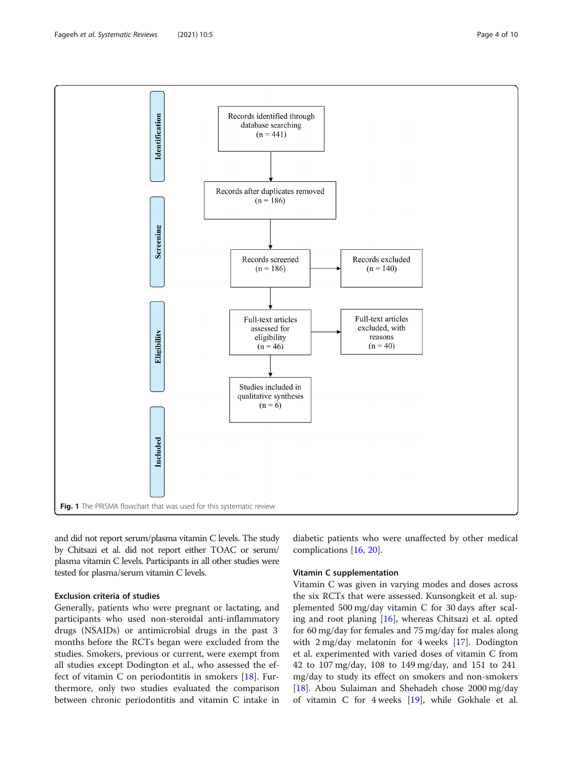<span id="page-3-0"></span>

and did not report serum/plasma vitamin C levels. The study by Chitsazi et al. did not report either TOAC or serum/ plasma vitamin C levels. Participants in all other studies were tested for plasma/serum vitamin C levels.

## Exclusion criteria of studies

Generally, patients who were pregnant or lactating, and participants who used non-steroidal anti-inflammatory drugs (NSAIDs) or antimicrobial drugs in the past 3 months before the RCTs began were excluded from the studies. Smokers, previous or current, were exempt from all studies except Dodington et al., who assessed the effect of vitamin C on periodontitis in smokers [\[18\]](#page-9-0). Furthermore, only two studies evaluated the comparison between chronic periodontitis and vitamin C intake in diabetic patients who were unaffected by other medical complications [[16,](#page-9-0) [20](#page-9-0)].

## Vitamin C supplementation

Vitamin C was given in varying modes and doses across the six RCTs that were assessed. Kunsongkeit et al. supplemented 500 mg/day vitamin C for 30 days after scaling and root planing [[16](#page-9-0)], whereas Chitsazi et al. opted for 60 mg/day for females and 75 mg/day for males along with 2 mg/day melatonin for 4 weeks [\[17\]](#page-9-0). Dodington et al. experimented with varied doses of vitamin C from 42 to 107 mg/day, 108 to 149 mg/day, and 151 to 241 mg/day to study its effect on smokers and non-smokers [[18\]](#page-9-0). Abou Sulaiman and Shehadeh chose 2000 mg/day of vitamin C for 4 weeks [[19\]](#page-9-0), while Gokhale et al.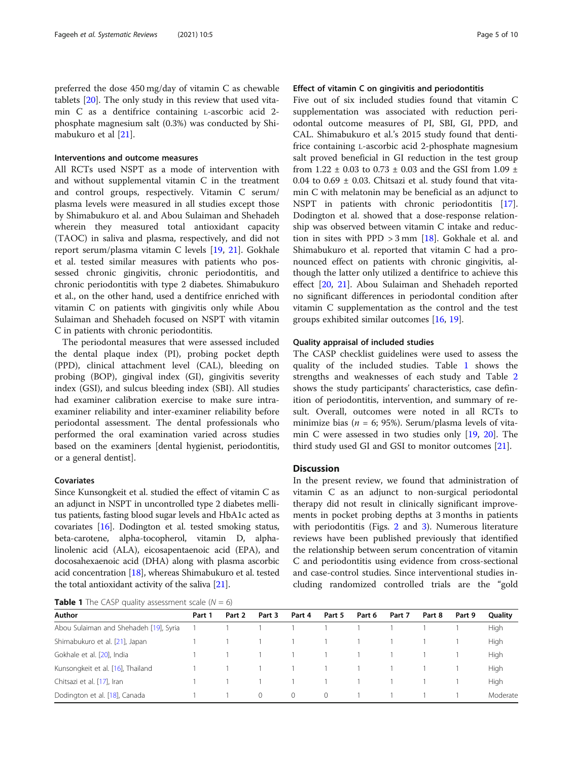preferred the dose 450 mg/day of vitamin C as chewable tablets [[20](#page-9-0)]. The only study in this review that used vitamin C as a dentifrice containing L-ascorbic acid 2 phosphate magnesium salt (0.3%) was conducted by Shimabukuro et al [\[21](#page-9-0)].

## Interventions and outcome measures

All RCTs used NSPT as a mode of intervention with and without supplemental vitamin C in the treatment and control groups, respectively. Vitamin C serum/ plasma levels were measured in all studies except those by Shimabukuro et al. and Abou Sulaiman and Shehadeh wherein they measured total antioxidant capacity (TAOC) in saliva and plasma, respectively, and did not report serum/plasma vitamin C levels [[19,](#page-9-0) [21](#page-9-0)]. Gokhale et al. tested similar measures with patients who possessed chronic gingivitis, chronic periodontitis, and chronic periodontitis with type 2 diabetes. Shimabukuro et al., on the other hand, used a dentifrice enriched with vitamin C on patients with gingivitis only while Abou Sulaiman and Shehadeh focused on NSPT with vitamin C in patients with chronic periodontitis.

The periodontal measures that were assessed included the dental plaque index (PI), probing pocket depth (PPD), clinical attachment level (CAL), bleeding on probing (BOP), gingival index (GI), gingivitis severity index (GSI), and sulcus bleeding index (SBI). All studies had examiner calibration exercise to make sure intraexaminer reliability and inter-examiner reliability before periodontal assessment. The dental professionals who performed the oral examination varied across studies based on the examiners [dental hygienist, periodontitis, or a general dentist].

#### Covariates

Since Kunsongkeit et al. studied the effect of vitamin C as an adjunct in NSPT in uncontrolled type 2 diabetes mellitus patients, fasting blood sugar levels and HbA1c acted as covariates [\[16\]](#page-9-0). Dodington et al. tested smoking status, beta-carotene, alpha-tocopherol, vitamin D, alphalinolenic acid (ALA), eicosapentaenoic acid (EPA), and docosahexaenoic acid (DHA) along with plasma ascorbic acid concentration [[18](#page-9-0)], whereas Shimabukuro et al. tested the total antioxidant activity of the saliva [[21](#page-9-0)].

**Table 1** The CASP quality assessment scale  $(N = 6)$ 

## Effect of vitamin C on gingivitis and periodontitis

Five out of six included studies found that vitamin C supplementation was associated with reduction periodontal outcome measures of PI, SBI, GI, PPD, and CAL. Shimabukuro et al.'s 2015 study found that dentifrice containing L-ascorbic acid 2-phosphate magnesium salt proved beneficial in GI reduction in the test group from 1.22  $\pm$  0.03 to 0.73  $\pm$  0.03 and the GSI from 1.09  $\pm$ 0.04 to 0.69  $\pm$  0.03. Chitsazi et al. study found that vitamin C with melatonin may be beneficial as an adjunct to NSPT in patients with chronic periodontitis [\[17](#page-9-0)]. Dodington et al. showed that a dose-response relationship was observed between vitamin C intake and reduction in sites with PPD  $> 3$  mm [\[18](#page-9-0)]. Gokhale et al. and Shimabukuro et al. reported that vitamin C had a pronounced effect on patients with chronic gingivitis, although the latter only utilized a dentifrice to achieve this effect [[20](#page-9-0), [21\]](#page-9-0). Abou Sulaiman and Shehadeh reported no significant differences in periodontal condition after vitamin C supplementation as the control and the test groups exhibited similar outcomes [\[16,](#page-9-0) [19\]](#page-9-0).

## Quality appraisal of included studies

The CASP checklist guidelines were used to assess the quality of the included studies. Table 1 shows the strengths and weaknesses of each study and Table [2](#page-5-0) shows the study participants' characteristics, case definition of periodontitis, intervention, and summary of result. Overall, outcomes were noted in all RCTs to minimize bias ( $n = 6$ ; 95%). Serum/plasma levels of vitamin C were assessed in two studies only [[19](#page-9-0), [20\]](#page-9-0). The third study used GI and GSI to monitor outcomes [[21\]](#page-9-0).

## **Discussion**

In the present review, we found that administration of vitamin C as an adjunct to non-surgical periodontal therapy did not result in clinically significant improvements in pocket probing depths at 3 months in patients with periodontitis (Figs. [2](#page-7-0) and [3\)](#page-7-0). Numerous literature reviews have been published previously that identified the relationship between serum concentration of vitamin C and periodontitis using evidence from cross-sectional and case-control studies. Since interventional studies including randomized controlled trials are the "gold

| Author                                 | Part 1 | Part 2 | Part 3   | Part 4   | Part 5                        | Part 6 | Part 7 | Part 8 | Part 9 | Quality     |
|----------------------------------------|--------|--------|----------|----------|-------------------------------|--------|--------|--------|--------|-------------|
| Abou Sulaiman and Shehadeh [19], Syria |        |        |          |          | $\sim$ 1                      |        |        |        |        | <b>High</b> |
| Shimabukuro et al. [21], Japan         |        |        |          |          | $1 \quad 1 \quad 1$           |        |        |        |        | High        |
| Gokhale et al. [20], India             |        |        |          |          | $\sim$ 1 $\sim$ $\sim$ $\sim$ |        |        |        |        | High        |
| Kunsongkeit et al. [16], Thailand      |        |        |          |          | $\sim$ 1                      |        |        |        |        | <b>High</b> |
| Chitsazi et al. [17], Iran             |        |        |          |          | $\sim$ 1                      |        |        |        |        | High        |
| Dodington et al. [18], Canada          |        |        | $\Omega$ | $\Omega$ | $\Omega$                      |        |        |        |        | Moderate    |
|                                        |        |        |          |          |                               |        |        |        |        |             |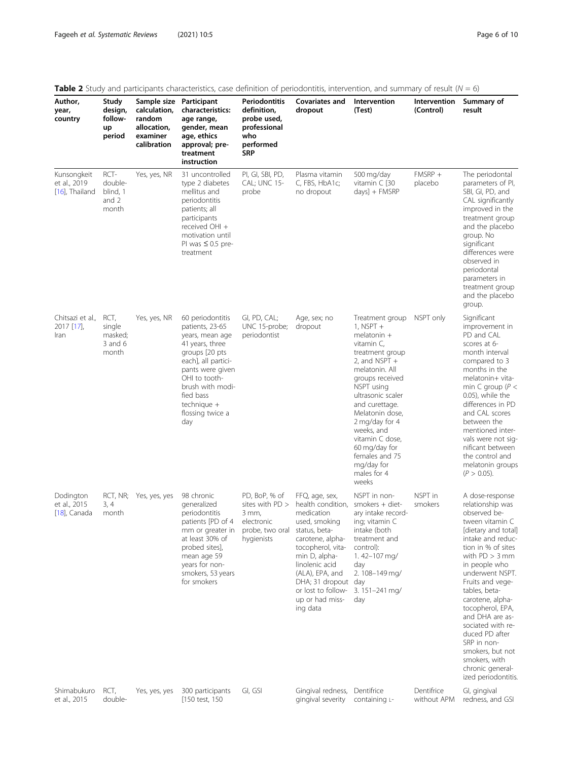| Author,<br>year,<br>country                   | Study<br>design,<br>follow-<br>up<br>period                       | Sample size Participant<br>calculation,<br>random<br>allocation,<br>examiner<br>calibration | <b>Table 2</b> Study and participants characteristics, case definition of periodontitis, intervention, and summary of result ( $N = 6$ )<br>characteristics:<br>age range,<br>gender, mean<br>age, ethics<br>approval; pre-<br>treatment<br>instruction | Periodontitis<br>definition,<br>probe used,<br>professional<br>who<br>performed<br><b>SRP</b> | Covariates and<br>dropout                                                                                                                                                                                                                                                                                                                                                                                                                                     | Intervention<br>(Test)                                                                                                                                                                                                                                                                                                                     | Intervention<br>(Control) | Summary of<br>result                                                                                                                                                                                                                                                                                                                                                                                                                   |
|-----------------------------------------------|-------------------------------------------------------------------|---------------------------------------------------------------------------------------------|---------------------------------------------------------------------------------------------------------------------------------------------------------------------------------------------------------------------------------------------------------|-----------------------------------------------------------------------------------------------|---------------------------------------------------------------------------------------------------------------------------------------------------------------------------------------------------------------------------------------------------------------------------------------------------------------------------------------------------------------------------------------------------------------------------------------------------------------|--------------------------------------------------------------------------------------------------------------------------------------------------------------------------------------------------------------------------------------------------------------------------------------------------------------------------------------------|---------------------------|----------------------------------------------------------------------------------------------------------------------------------------------------------------------------------------------------------------------------------------------------------------------------------------------------------------------------------------------------------------------------------------------------------------------------------------|
| Kunsongkeit<br>et al., 2019<br>[16], Thailand | RCT-<br>double-<br>blind, 1<br>and $2$<br>month                   | Yes, yes, NR                                                                                | 31 uncontrolled<br>type 2 diabetes<br>mellitus and<br>periodontitis<br>patients; all<br>participants<br>received OHI +<br>motivation until<br>PI was $\leq 0.5$ pre-<br>treatment                                                                       | PI, GI, SBI, PD,<br>CAL; UNC 15-<br>probe                                                     | Plasma vitamin<br>C, FBS, HbA1c;<br>no dropout                                                                                                                                                                                                                                                                                                                                                                                                                | 500 mg/day<br>vitamin C [30<br>days] + FMSRP                                                                                                                                                                                                                                                                                               | $FMSRP +$<br>placebo      | The periodontal<br>parameters of PI,<br>SBI, GI, PD, and<br>CAL significantly<br>improved in the<br>treatment group<br>and the placebo<br>group. No<br>significant<br>differences were<br>observed in<br>periodontal<br>parameters in<br>treatment group<br>and the placebo<br>group.                                                                                                                                                  |
| Chitsazi et al.,<br>2017 [17],<br>Iran        | RCT,<br>Yes, yes, NR<br>single<br>masked;<br>$3$ and $6$<br>month |                                                                                             | 60 periodontitis<br>patients, 23-65<br>years, mean age<br>41 years, three<br>groups [20 pts<br>each], all partici-<br>pants were given<br>OHI to tooth-<br>brush with modi-<br>fied bass<br>technique +<br>flossing twice a<br>day                      | GI, PD, CAL;<br>UNC 15-probe;<br>periodontist                                                 | Age, sex; no<br>dropout                                                                                                                                                                                                                                                                                                                                                                                                                                       | Treatment group<br>$1,$ NSPT $+$<br>melatonin +<br>vitamin C,<br>treatment group<br>2, and NSPT +<br>melatonin. All<br>groups received<br>NSPT using<br>ultrasonic scaler<br>and curettage.<br>Melatonin dose,<br>2 mg/day for 4<br>weeks, and<br>vitamin C dose,<br>60 mg/day for<br>females and 75<br>mg/day for<br>males for 4<br>weeks | NSPT only                 | Significant<br>improvement in<br>PD and CAL<br>scores at 6-<br>month interval<br>compared to 3<br>months in the<br>melatonin+ vita-<br>min C group ( $P <$<br>0.05), while the<br>differences in PD<br>and CAL scores<br>between the<br>mentioned inter-<br>vals were not sig-<br>nificant between<br>the control and<br>melatonin groups<br>$(P > 0.05)$ .                                                                            |
| Dodington<br>et al., 2015<br>$[18]$ , Canada  | RCT, NR;<br>3, 4<br>month                                         | Yes, yes, yes                                                                               | 98 chronic<br>generalized<br>periodontitis<br>patients [PD of 4<br>mm or greater in<br>at least 30% of<br>probed sites].<br>mean age 59<br>years for non-<br>smokers, 53 years<br>for smokers                                                           | PD, BoP, % of<br>sites with PD ><br>3 mm,<br>electronic<br>probe, two oral<br>hygienists      | NSPT in non-<br>FFQ, age, sex,<br>health condition.<br>smokers $+$ diet-<br>ary intake record-<br>medication<br>used, smoking<br>ing; vitamin C<br>intake (both<br>status, beta-<br>carotene, alpha-<br>treatment and<br>tocopherol, vita-<br>control):<br>min D, alpha-<br>1.42-107 mg/<br>linolenic acid<br>day<br>(ALA), EPA, and<br>2.108-149 mg/<br>DHA; 31 dropout day<br>or lost to follow-<br>$3.151 - 241$ mg/<br>up or had miss-<br>day<br>ing data |                                                                                                                                                                                                                                                                                                                                            | NSPT in<br>smokers        | A dose-response<br>relationship was<br>observed be-<br>tween vitamin C<br>[dietary and total]<br>intake and reduc-<br>tion in % of sites<br>with $PD > 3$ mm<br>in people who<br>underwent NSPT.<br>Fruits and vege-<br>tables, beta-<br>carotene, alpha-<br>tocopherol, EPA,<br>and DHA are as-<br>sociated with re-<br>duced PD after<br>SRP in non-<br>smokers, but not<br>smokers, with<br>chronic general-<br>ized periodontitis. |
| Shimabukuro<br>et al., 2015                   | RCT,<br>double-                                                   | Yes, yes, yes                                                                               | 300 participants<br>[150 test, 150                                                                                                                                                                                                                      | GI, GSI                                                                                       | Gingival redness,<br>gingival severity                                                                                                                                                                                                                                                                                                                                                                                                                        | Dentifrice<br>containing L-                                                                                                                                                                                                                                                                                                                | Dentifrice<br>without APM | GI, gingival<br>redness, and GSI                                                                                                                                                                                                                                                                                                                                                                                                       |

## <span id="page-5-0"></span>Table 2 Study and participants characteristics, case definition of periodontitis, intervention, and summary of result  $(N = 6)$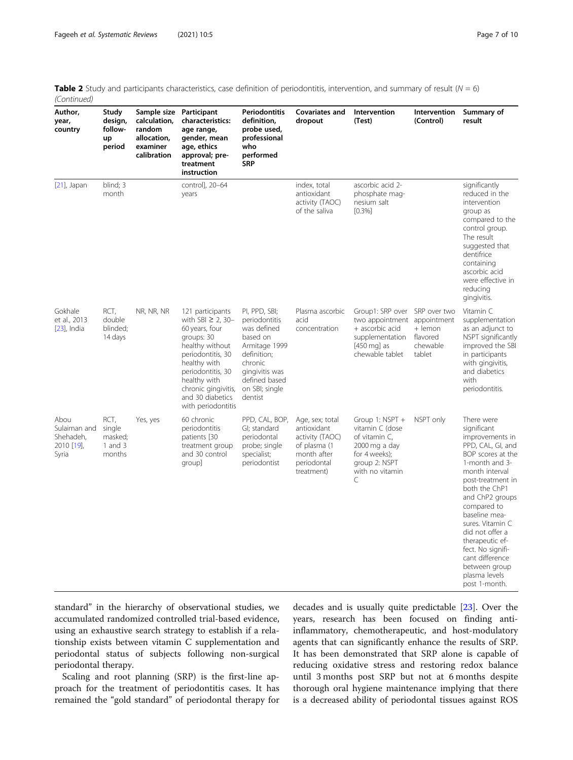| <b>Table 2</b> Study and participants characteristics, case definition of periodontitis, intervention, and summary of result ( $N = 6$ ) |  |
|------------------------------------------------------------------------------------------------------------------------------------------|--|
| (Continued)                                                                                                                              |  |

| Author,<br>year,<br>country                              | Study<br>design,<br>follow-<br>up<br>period        | Sample size<br>calculation,<br>random<br>allocation,<br>examiner<br>calibration | Participant<br>characteristics:<br>age range,<br>gender, mean<br>age, ethics<br>approval; pre-<br>treatment<br>instruction                                                                                                               | Periodontitis<br>definition,<br>probe used,<br>professional<br>who<br>performed<br><b>SRP</b>                                                                        | Covariates and<br>dropout                                                                                     | Intervention<br>(Test)                                                                                                                         | Intervention<br>(Control)                 | Summary of<br>result                                                                                                                                                                                                                                                                                                                                                     |
|----------------------------------------------------------|----------------------------------------------------|---------------------------------------------------------------------------------|------------------------------------------------------------------------------------------------------------------------------------------------------------------------------------------------------------------------------------------|----------------------------------------------------------------------------------------------------------------------------------------------------------------------|---------------------------------------------------------------------------------------------------------------|------------------------------------------------------------------------------------------------------------------------------------------------|-------------------------------------------|--------------------------------------------------------------------------------------------------------------------------------------------------------------------------------------------------------------------------------------------------------------------------------------------------------------------------------------------------------------------------|
| $[21]$ , Japan                                           | blind; 3<br>month                                  |                                                                                 | control], 20-64<br>years                                                                                                                                                                                                                 |                                                                                                                                                                      | index, total<br>antioxidant<br>activity (TAOC)<br>of the saliva                                               | ascorbic acid 2-<br>phosphate mag-<br>nesium salt<br>[0.3%]                                                                                    |                                           | significantly<br>reduced in the<br>intervention<br>group as<br>compared to the<br>control group.<br>The result<br>suggested that<br>dentifrice<br>containing<br>ascorbic acid<br>were effective in<br>reducing<br>gingivitis.                                                                                                                                            |
| Gokhale<br>et al., 2013<br>$[23]$ , India                | RCT,<br>double<br>blinded;<br>14 days              | NR, NR, NR                                                                      | 121 participants<br>with SBI $\geq$ 2, 30-<br>60 years, four<br>groups: 30<br>healthy without<br>periodontitis, 30<br>healthy with<br>periodontitis, 30<br>healthy with<br>chronic gingivitis,<br>and 30 diabetics<br>with periodontitis | PI, PPD, SBI;<br>periodontitis<br>was defined<br>based on<br>Armitage 1999<br>definition;<br>chronic<br>gingivitis was<br>defined based<br>on SBI; single<br>dentist | Plasma ascorbic<br>acid<br>concentration                                                                      | Group1: SRP over SRP over two<br>two appointment appointment<br>+ ascorbic acid<br>supplementation<br>$[450 \text{ mg}]$ as<br>chewable tablet | + lemon<br>flavored<br>chewable<br>tablet | Vitamin C<br>supplementation<br>as an adjunct to<br>NSPT significantly<br>improved the SBI<br>in participants<br>with gingivitis,<br>and diabetics<br>with<br>periodontitis.                                                                                                                                                                                             |
| Abou<br>Sulaiman and<br>Shehadeh,<br>2010 [19],<br>Syria | RCT,<br>single<br>masked;<br>$1$ and $3$<br>months | Yes, yes                                                                        | 60 chronic<br>periodontitis<br>patients [30<br>treatment group<br>and 30 control<br>group]                                                                                                                                               | PPD, CAL, BOP,<br>GI; standard<br>periodontal<br>probe; single<br>specialist;<br>periodontist                                                                        | Age, sex; total<br>antioxidant<br>activity (TAOC)<br>of plasma (1<br>month after<br>periodontal<br>treatment) | Group 1: NSPT +<br>vitamin C (dose<br>of vitamin C,<br>2000 mg a day<br>for 4 weeks);<br>group 2: NSPT<br>with no vitamin<br>C                 | NSPT only                                 | There were<br>significant<br>improvements in<br>PPD, CAL, GI, and<br>BOP scores at the<br>1-month and 3-<br>month interval<br>post-treatment in<br>both the ChP1<br>and ChP2 groups<br>compared to<br>baseline mea-<br>sures. Vitamin C<br>did not offer a<br>therapeutic ef-<br>fect. No signifi-<br>cant difference<br>between group<br>plasma levels<br>post 1-month. |

standard" in the hierarchy of observational studies, we accumulated randomized controlled trial-based evidence, using an exhaustive search strategy to establish if a relationship exists between vitamin C supplementation and periodontal status of subjects following non-surgical periodontal therapy.

Scaling and root planning (SRP) is the first-line approach for the treatment of periodontitis cases. It has remained the "gold standard" of periodontal therapy for decades and is usually quite predictable [[23](#page-9-0)]. Over the years, research has been focused on finding antiinflammatory, chemotherapeutic, and host-modulatory agents that can significantly enhance the results of SRP. It has been demonstrated that SRP alone is capable of reducing oxidative stress and restoring redox balance until 3 months post SRP but not at 6 months despite thorough oral hygiene maintenance implying that there is a decreased ability of periodontal tissues against ROS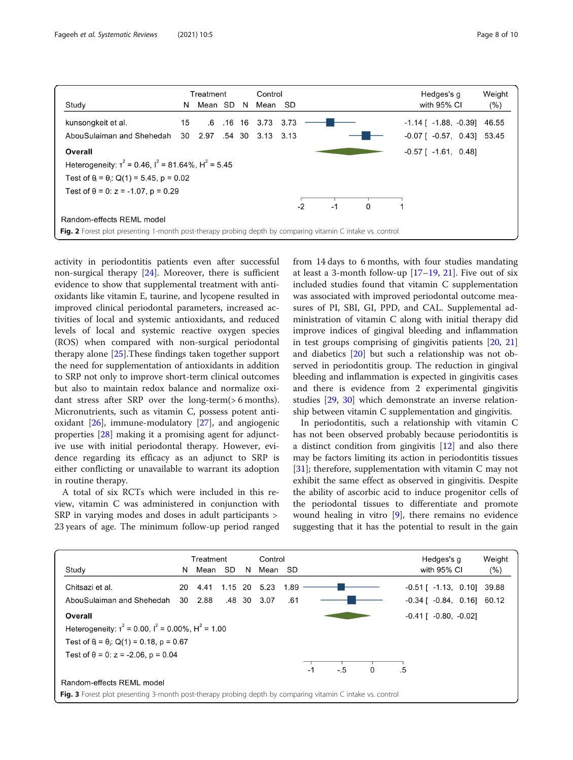<span id="page-7-0"></span>

activity in periodontitis patients even after successful non-surgical therapy [\[24](#page-9-0)]. Moreover, there is sufficient evidence to show that supplemental treatment with antioxidants like vitamin E, taurine, and lycopene resulted in improved clinical periodontal parameters, increased activities of local and systemic antioxidants, and reduced levels of local and systemic reactive oxygen species (ROS) when compared with non-surgical periodontal therapy alone [\[25](#page-9-0)].These findings taken together support the need for supplementation of antioxidants in addition to SRP not only to improve short-term clinical outcomes but also to maintain redox balance and normalize oxidant stress after SRP over the long-term(> 6 months). Micronutrients, such as vitamin C, possess potent antioxidant [\[26\]](#page-9-0), immune-modulatory [\[27](#page-9-0)], and angiogenic properties [\[28](#page-9-0)] making it a promising agent for adjunctive use with initial periodontal therapy. However, evidence regarding its efficacy as an adjunct to SRP is either conflicting or unavailable to warrant its adoption in routine therapy.

A total of six RCTs which were included in this review, vitamin C was administered in conjunction with SRP in varying modes and doses in adult participants > 23 years of age. The minimum follow-up period ranged from 14 days to 6 months, with four studies mandating at least a 3-month follow-up  $[17–19, 21]$  $[17–19, 21]$  $[17–19, 21]$  $[17–19, 21]$  $[17–19, 21]$  $[17–19, 21]$ . Five out of six included studies found that vitamin C supplementation was associated with improved periodontal outcome measures of PI, SBI, GI, PPD, and CAL. Supplemental administration of vitamin C along with initial therapy did improve indices of gingival bleeding and inflammation in test groups comprising of gingivitis patients [\[20](#page-9-0), [21](#page-9-0)] and diabetics [\[20](#page-9-0)] but such a relationship was not observed in periodontitis group. The reduction in gingival bleeding and inflammation is expected in gingivitis cases and there is evidence from 2 experimental gingivitis studies [\[29](#page-9-0), [30](#page-9-0)] which demonstrate an inverse relationship between vitamin C supplementation and gingivitis.

In periodontitis, such a relationship with vitamin C has not been observed probably because periodontitis is a distinct condition from gingivitis [\[12](#page-9-0)] and also there may be factors limiting its action in periodontitis tissues [[31\]](#page-9-0); therefore, supplementation with vitamin C may not exhibit the same effect as observed in gingivitis. Despite the ability of ascorbic acid to induce progenitor cells of the periodontal tissues to differentiate and promote wound healing in vitro [[9\]](#page-9-0), there remains no evidence suggesting that it has the potential to result in the gain

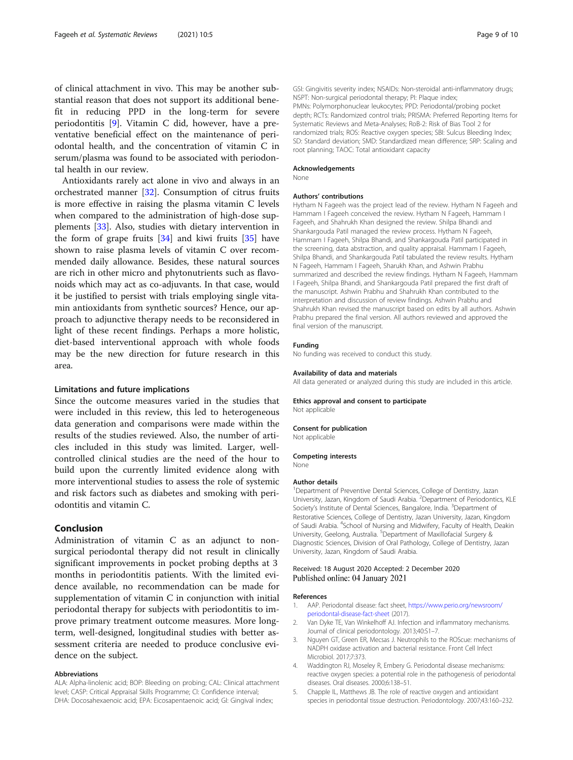<span id="page-8-0"></span>of clinical attachment in vivo. This may be another substantial reason that does not support its additional benefit in reducing PPD in the long-term for severe periodontitis [[9](#page-9-0)]. Vitamin C did, however, have a preventative beneficial effect on the maintenance of periodontal health, and the concentration of vitamin C in serum/plasma was found to be associated with periodontal health in our review.

Antioxidants rarely act alone in vivo and always in an orchestrated manner [\[32](#page-9-0)]. Consumption of citrus fruits is more effective in raising the plasma vitamin C levels when compared to the administration of high-dose supplements [[33\]](#page-9-0). Also, studies with dietary intervention in the form of grape fruits [[34\]](#page-9-0) and kiwi fruits [\[35](#page-9-0)] have shown to raise plasma levels of vitamin C over recommended daily allowance. Besides, these natural sources are rich in other micro and phytonutrients such as flavonoids which may act as co-adjuvants. In that case, would it be justified to persist with trials employing single vitamin antioxidants from synthetic sources? Hence, our approach to adjunctive therapy needs to be reconsidered in light of these recent findings. Perhaps a more holistic, diet-based interventional approach with whole foods may be the new direction for future research in this area.

#### Limitations and future implications

Since the outcome measures varied in the studies that were included in this review, this led to heterogeneous data generation and comparisons were made within the results of the studies reviewed. Also, the number of articles included in this study was limited. Larger, wellcontrolled clinical studies are the need of the hour to build upon the currently limited evidence along with more interventional studies to assess the role of systemic and risk factors such as diabetes and smoking with periodontitis and vitamin C.

## Conclusion

Administration of vitamin C as an adjunct to nonsurgical periodontal therapy did not result in clinically significant improvements in pocket probing depths at 3 months in periodontitis patients. With the limited evidence available, no recommendation can be made for supplementation of vitamin C in conjunction with initial periodontal therapy for subjects with periodontitis to improve primary treatment outcome measures. More longterm, well-designed, longitudinal studies with better assessment criteria are needed to produce conclusive evidence on the subject.

#### Abbreviations

ALA: Alpha-linolenic acid; BOP: Bleeding on probing; CAL: Clinical attachment level; CASP: Critical Appraisal Skills Programme; CI: Confidence interval; DHA: Docosahexaenoic acid; EPA: Eicosapentaenoic acid; GI: Gingival index;

GSI: Gingivitis severity index; NSAIDs: Non-steroidal anti-inflammatory drugs; NSPT: Non-surgical periodontal therapy; PI: Plaque index; PMNs: Polymorphonuclear leukocytes; PPD: Periodontal/probing pocket depth; RCTs: Randomized control trials; PRISMA: Preferred Reporting Items for Systematic Reviews and Meta-Analyses; RoB-2: Risk of Bias Tool 2 for randomized trials; ROS: Reactive oxygen species; SBI: Sulcus Bleeding Index; SD: Standard deviation; SMD: Standardized mean difference; SRP: Scaling and root planning; TAOC: Total antioxidant capacity

#### Acknowledgements

None

#### Authors' contributions

Hytham N Fageeh was the project lead of the review. Hytham N Fageeh and Hammam I Fageeh conceived the review. Hytham N Fageeh, Hammam I Fageeh, and Shahrukh Khan designed the review. Shilpa Bhandi and Shankargouda Patil managed the review process. Hytham N Fageeh, Hammam I Fageeh, Shilpa Bhandi, and Shankargouda Patil participated in the screening, data abstraction, and quality appraisal. Hammam I Fageeh, Shilpa Bhandi, and Shankargouda Patil tabulated the review results. Hytham N Fageeh, Hammam I Fageeh, Sharukh Khan, and Ashwin Prabhu summarized and described the review findings. Hytham N Fageeh, Hammam I Fageeh, Shilpa Bhandi, and Shankargouda Patil prepared the first draft of the manuscript. Ashwin Prabhu and Shahrukh Khan contributed to the interpretation and discussion of review findings. Ashwin Prabhu and Shahrukh Khan revised the manuscript based on edits by all authors. Ashwin Prabhu prepared the final version. All authors reviewed and approved the final version of the manuscript.

#### Funding

No funding was received to conduct this study.

#### Availability of data and materials

All data generated or analyzed during this study are included in this article.

## Ethics approval and consent to participate Not applicable

## Consent for publication

Not applicable

#### Competing interests

None

#### Author details

<sup>1</sup> Department of Preventive Dental Sciences, College of Dentistry, Jazan University, Jazan, Kingdom of Saudi Arabia. <sup>2</sup>Department of Periodontics, KLE Society's Institute of Dental Sciences, Bangalore, India. <sup>3</sup>Department of Restorative Sciences, College of Dentistry, Jazan University, Jazan, Kingdom of Saudi Arabia. <sup>4</sup>School of Nursing and Midwifery, Faculty of Health, Deakin University, Geelong, Australia. <sup>5</sup>Department of Maxillofacial Surgery & Diagnostic Sciences, Division of Oral Pathology, College of Dentistry, Jazan University, Jazan, Kingdom of Saudi Arabia.

#### Received: 18 August 2020 Accepted: 2 December 2020 Published online: 04 January 2021

#### References

- 1. AAP. Periodontal disease: fact sheet, [https://www.perio.org/newsroom/](https://www.perio.org/newsroom/periodontal-disease-fact-sheet) [periodontal-disease-fact-sheet](https://www.perio.org/newsroom/periodontal-disease-fact-sheet) (2017).
- 2. Van Dyke TE, Van Winkelhoff AJ. Infection and inflammatory mechanisms. Journal of clinical periodontology. 2013;40:S1–7.
- 3. Nguyen GT, Green ER, Mecsas J. Neutrophils to the ROScue: mechanisms of NADPH oxidase activation and bacterial resistance. Front Cell Infect Microbiol. 2017;7:373.
- 4. Waddington RJ, Moseley R, Embery G. Periodontal disease mechanisms: reactive oxygen species: a potential role in the pathogenesis of periodontal diseases. Oral diseases. 2000;6:138–51.
- 5. Chapple IL, Matthews JB. The role of reactive oxygen and antioxidant species in periodontal tissue destruction. Periodontology. 2007;43:160–232.